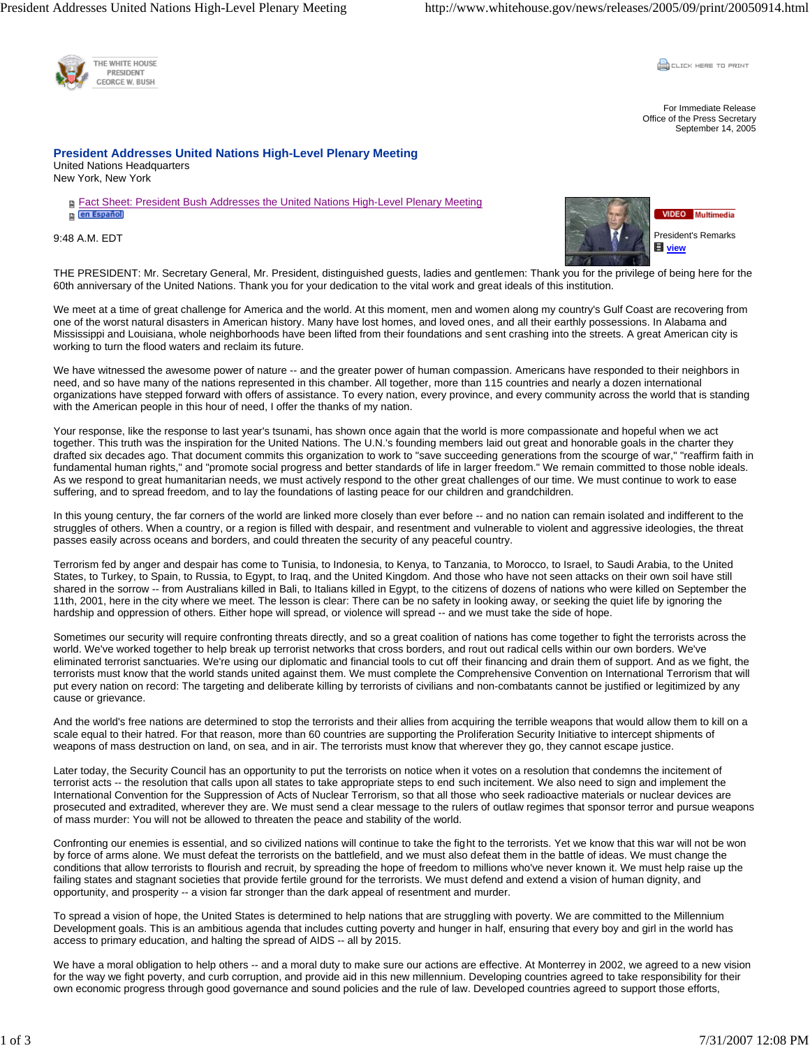

**COLLER HERE TO PRINT** 

For Immediate Release Office of the Press Secretary September 14, 2005

## **President Addresses United Nations High-Level Plenary Meeting**

United Nations Headquarters New York, New York

 Fact Sheet: President Bush Addresses the United Nations High-Level Plenary Meeting en Español

9:48 A.M. EDT



THE PRESIDENT: Mr. Secretary General, Mr. President, distinguished guests, ladies and gentlemen: Thank you for the privilege of being here for the 60th anniversary of the United Nations. Thank you for your dedication to the vital work and great ideals of this institution.

We meet at a time of great challenge for America and the world. At this moment, men and women along my country's Gulf Coast are recovering from one of the worst natural disasters in American history. Many have lost homes, and loved ones, and all their earthly possessions. In Alabama and Mississippi and Louisiana, whole neighborhoods have been lifted from their foundations and sent crashing into the streets. A great American city is working to turn the flood waters and reclaim its future.

We have witnessed the awesome power of nature -- and the greater power of human compassion. Americans have responded to their neighbors in need, and so have many of the nations represented in this chamber. All together, more than 115 countries and nearly a dozen international organizations have stepped forward with offers of assistance. To every nation, every province, and every community across the world that is standing with the American people in this hour of need, I offer the thanks of my nation.

Your response, like the response to last year's tsunami, has shown once again that the world is more compassionate and hopeful when we act together. This truth was the inspiration for the United Nations. The U.N.'s founding members laid out great and honorable goals in the charter they drafted six decades ago. That document commits this organization to work to "save succeeding generations from the scourge of war," "reaffirm faith in fundamental human rights," and "promote social progress and better standards of life in larger freedom." We remain committed to those noble ideals. As we respond to great humanitarian needs, we must actively respond to the other great challenges of our time. We must continue to work to ease suffering, and to spread freedom, and to lay the foundations of lasting peace for our children and grandchildren.

In this young century, the far corners of the world are linked more closely than ever before -- and no nation can remain isolated and indifferent to the struggles of others. When a country, or a region is filled with despair, and resentment and vulnerable to violent and aggressive ideologies, the threat passes easily across oceans and borders, and could threaten the security of any peaceful country.

Terrorism fed by anger and despair has come to Tunisia, to Indonesia, to Kenya, to Tanzania, to Morocco, to Israel, to Saudi Arabia, to the United States, to Turkey, to Spain, to Russia, to Egypt, to Iraq, and the United Kingdom. And those who have not seen attacks on their own soil have still shared in the sorrow -- from Australians killed in Bali, to Italians killed in Egypt, to the citizens of dozens of nations who were killed on September the 11th, 2001, here in the city where we meet. The lesson is clear: There can be no safety in looking away, or seeking the quiet life by ignoring the hardship and oppression of others. Either hope will spread, or violence will spread -- and we must take the side of hope.

Sometimes our security will require confronting threats directly, and so a great coalition of nations has come together to fight the terrorists across the world. We've worked together to help break up terrorist networks that cross borders, and rout out radical cells within our own borders. We've eliminated terrorist sanctuaries. We're using our diplomatic and financial tools to cut off their financing and drain them of support. And as we fight, the terrorists must know that the world stands united against them. We must complete the Comprehensive Convention on International Terrorism that will put every nation on record: The targeting and deliberate killing by terrorists of civilians and non-combatants cannot be justified or legitimized by any cause or grievance.

And the world's free nations are determined to stop the terrorists and their allies from acquiring the terrible weapons that would allow them to kill on a scale equal to their hatred. For that reason, more than 60 countries are supporting the Proliferation Security Initiative to intercept shipments of weapons of mass destruction on land, on sea, and in air. The terrorists must know that wherever they go, they cannot escape justice.

Later today, the Security Council has an opportunity to put the terrorists on notice when it votes on a resolution that condemns the incitement of terrorist acts -- the resolution that calls upon all states to take appropriate steps to end such incitement. We also need to sign and implement the International Convention for the Suppression of Acts of Nuclear Terrorism, so that all those who seek radioactive materials or nuclear devices are prosecuted and extradited, wherever they are. We must send a clear message to the rulers of outlaw regimes that sponsor terror and pursue weapons of mass murder: You will not be allowed to threaten the peace and stability of the world.

Confronting our enemies is essential, and so civilized nations will continue to take the fight to the terrorists. Yet we know that this war will not be won by force of arms alone. We must defeat the terrorists on the battlefield, and we must also defeat them in the battle of ideas. We must change the conditions that allow terrorists to flourish and recruit, by spreading the hope of freedom to millions who've never known it. We must help raise up the failing states and stagnant societies that provide fertile ground for the terrorists. We must defend and extend a vision of human dignity, and opportunity, and prosperity -- a vision far stronger than the dark appeal of resentment and murder.

To spread a vision of hope, the United States is determined to help nations that are struggling with poverty. We are committed to the Millennium Development goals. This is an ambitious agenda that includes cutting poverty and hunger in half, ensuring that every boy and girl in the world has access to primary education, and halting the spread of AIDS -- all by 2015.

We have a moral obligation to help others -- and a moral duty to make sure our actions are effective. At Monterrey in 2002, we agreed to a new vision for the way we fight poverty, and curb corruption, and provide aid in this new millennium. Developing countries agreed to take responsibility for their own economic progress through good governance and sound policies and the rule of law. Developed countries agreed to support those efforts,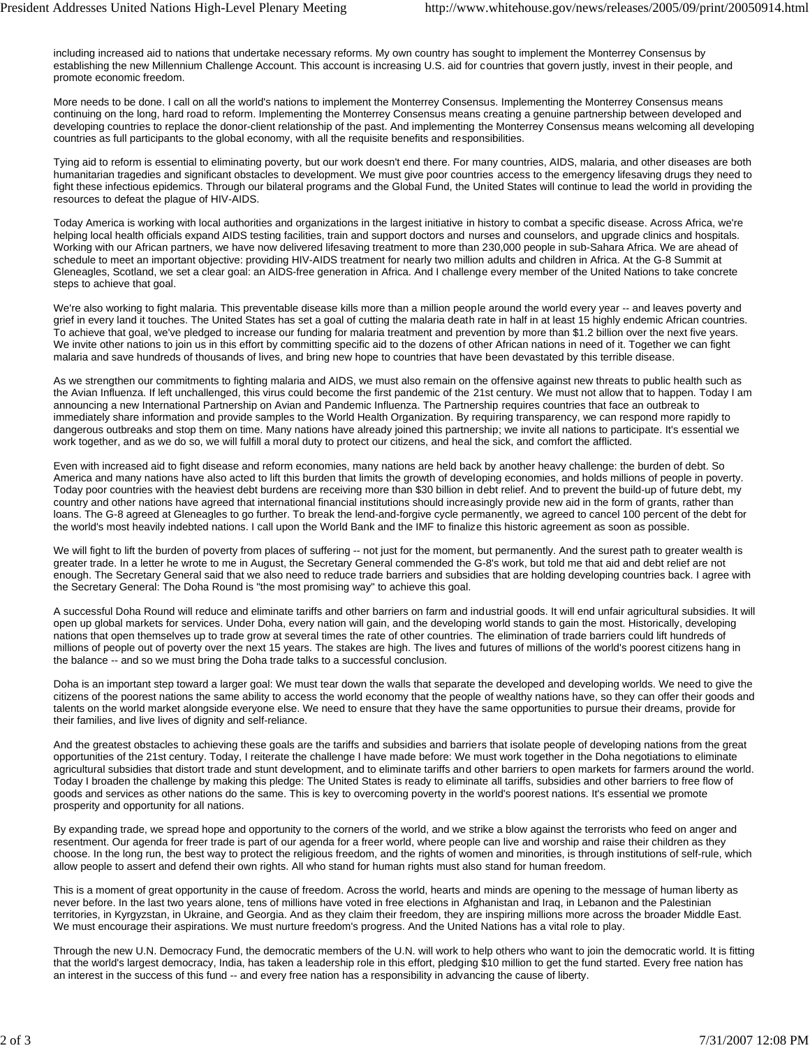including increased aid to nations that undertake necessary reforms. My own country has sought to implement the Monterrey Consensus by establishing the new Millennium Challenge Account. This account is increasing U.S. aid for countries that govern justly, invest in their people, and promote economic freedom.

More needs to be done. I call on all the world's nations to implement the Monterrey Consensus. Implementing the Monterrey Consensus means continuing on the long, hard road to reform. Implementing the Monterrey Consensus means creating a genuine partnership between developed and developing countries to replace the donor-client relationship of the past. And implementing the Monterrey Consensus means welcoming all developing countries as full participants to the global economy, with all the requisite benefits and responsibilities.

Tying aid to reform is essential to eliminating poverty, but our work doesn't end there. For many countries, AIDS, malaria, and other diseases are both humanitarian tragedies and significant obstacles to development. We must give poor countries access to the emergency lifesaving drugs they need to fight these infectious epidemics. Through our bilateral programs and the Global Fund, the United States will continue to lead the world in providing the resources to defeat the plague of HIV-AIDS.

Today America is working with local authorities and organizations in the largest initiative in history to combat a specific disease. Across Africa, we're helping local health officials expand AIDS testing facilities, train and support doctors and nurses and counselors, and upgrade clinics and hospitals. Working with our African partners, we have now delivered lifesaving treatment to more than 230,000 people in sub-Sahara Africa. We are ahead of schedule to meet an important objective: providing HIV-AIDS treatment for nearly two million adults and children in Africa. At the G-8 Summit at Gleneagles, Scotland, we set a clear goal: an AIDS-free generation in Africa. And I challenge every member of the United Nations to take concrete steps to achieve that goal.

We're also working to fight malaria. This preventable disease kills more than a million people around the world every year -- and leaves poverty and grief in every land it touches. The United States has set a goal of cutting the malaria death rate in half in at least 15 highly endemic African countries. To achieve that goal, we've pledged to increase our funding for malaria treatment and prevention by more than \$1.2 billion over the next five years. We invite other nations to join us in this effort by committing specific aid to the dozens of other African nations in need of it. Together we can fight malaria and save hundreds of thousands of lives, and bring new hope to countries that have been devastated by this terrible disease.

As we strengthen our commitments to fighting malaria and AIDS, we must also remain on the offensive against new threats to public health such as the Avian Influenza. If left unchallenged, this virus could become the first pandemic of the 21st century. We must not allow that to happen. Today I am announcing a new International Partnership on Avian and Pandemic Influenza. The Partnership requires countries that face an outbreak to immediately share information and provide samples to the World Health Organization. By requiring transparency, we can respond more rapidly to dangerous outbreaks and stop them on time. Many nations have already joined this partnership; we invite all nations to participate. It's essential we work together, and as we do so, we will fulfill a moral duty to protect our citizens, and heal the sick, and comfort the afflicted.

Even with increased aid to fight disease and reform economies, many nations are held back by another heavy challenge: the burden of debt. So America and many nations have also acted to lift this burden that limits the growth of developing economies, and holds millions of people in poverty. Today poor countries with the heaviest debt burdens are receiving more than \$30 billion in debt relief. And to prevent the build-up of future debt, my country and other nations have agreed that international financial institutions should increasingly provide new aid in the form of grants, rather than loans. The G-8 agreed at Gleneagles to go further. To break the lend-and-forgive cycle permanently, we agreed to cancel 100 percent of the debt for the world's most heavily indebted nations. I call upon the World Bank and the IMF to finalize this historic agreement as soon as possible.

We will fight to lift the burden of poverty from places of suffering -- not just for the moment, but permanently. And the surest path to greater wealth is greater trade. In a letter he wrote to me in August, the Secretary General commended the G-8's work, but told me that aid and debt relief are not enough. The Secretary General said that we also need to reduce trade barriers and subsidies that are holding developing countries back. I agree with the Secretary General: The Doha Round is "the most promising way" to achieve this goal.

A successful Doha Round will reduce and eliminate tariffs and other barriers on farm and industrial goods. It will end unfair agricultural subsidies. It will open up global markets for services. Under Doha, every nation will gain, and the developing world stands to gain the most. Historically, developing nations that open themselves up to trade grow at several times the rate of other countries. The elimination of trade barriers could lift hundreds of millions of people out of poverty over the next 15 years. The stakes are high. The lives and futures of millions of the world's poorest citizens hang in the balance -- and so we must bring the Doha trade talks to a successful conclusion.

Doha is an important step toward a larger goal: We must tear down the walls that separate the developed and developing worlds. We need to give the citizens of the poorest nations the same ability to access the world economy that the people of wealthy nations have, so they can offer their goods and talents on the world market alongside everyone else. We need to ensure that they have the same opportunities to pursue their dreams, provide for their families, and live lives of dignity and self-reliance.

And the greatest obstacles to achieving these goals are the tariffs and subsidies and barriers that isolate people of developing nations from the great opportunities of the 21st century. Today, I reiterate the challenge I have made before: We must work together in the Doha negotiations to eliminate agricultural subsidies that distort trade and stunt development, and to eliminate tariffs and other barriers to open markets for farmers around the world. Today I broaden the challenge by making this pledge: The United States is ready to eliminate all tariffs, subsidies and other barriers to free flow of goods and services as other nations do the same. This is key to overcoming poverty in the world's poorest nations. It's essential we promote prosperity and opportunity for all nations.

By expanding trade, we spread hope and opportunity to the corners of the world, and we strike a blow against the terrorists who feed on anger and resentment. Our agenda for freer trade is part of our agenda for a freer world, where people can live and worship and raise their children as they choose. In the long run, the best way to protect the religious freedom, and the rights of women and minorities, is through institutions of self-rule, which allow people to assert and defend their own rights. All who stand for human rights must also stand for human freedom.

This is a moment of great opportunity in the cause of freedom. Across the world, hearts and minds are opening to the message of human liberty as never before. In the last two years alone, tens of millions have voted in free elections in Afghanistan and Iraq, in Lebanon and the Palestinian territories, in Kyrgyzstan, in Ukraine, and Georgia. And as they claim their freedom, they are inspiring millions more across the broader Middle East. We must encourage their aspirations. We must nurture freedom's progress. And the United Nations has a vital role to play.

Through the new U.N. Democracy Fund, the democratic members of the U.N. will work to help others who want to join the democratic world. It is fitting that the world's largest democracy, India, has taken a leadership role in this effort, pledging \$10 million to get the fund started. Every free nation has an interest in the success of this fund -- and every free nation has a responsibility in advancing the cause of liberty.